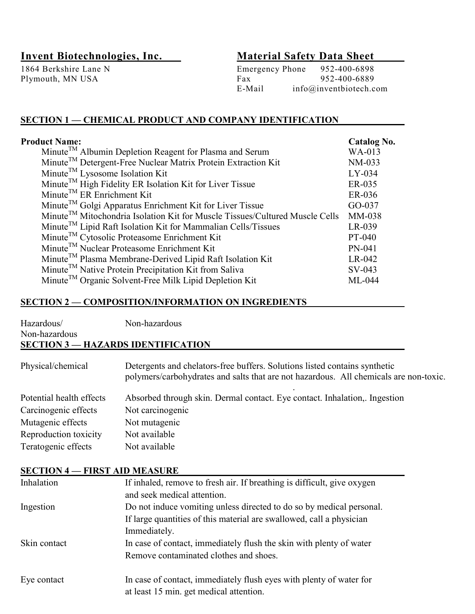Plymouth, MN USA Fax

# Invent Biotechnologies, Inc. Material Safety Data Sheet

1864 Berkshire Lane N<br>
Plymouth, MN USA<br>
Plymouth, MN USA<br>
Pax<br>
952-400-6889 E-Mail info@inventbiotech.com

#### SECTION 1 — CHEMICAL PRODUCT AND COMPANY IDENTIFICATION

| <b>Product Name:</b>                                                                     | <b>Catalog No.</b> |
|------------------------------------------------------------------------------------------|--------------------|
| Minute <sup>TM</sup> Albumin Depletion Reagent for Plasma and Serum                      | WA-013             |
| Minute <sup>TM</sup> Detergent-Free Nuclear Matrix Protein Extraction Kit                | NM-033             |
| Minute <sup>TM</sup> Lysosome Isolation Kit                                              | LY-034             |
| Minute <sup>TM</sup> High Fidelity ER Isolation Kit for Liver Tissue                     | ER-035             |
| $MinuteTM$ ER Enrichment Kit                                                             | ER-036             |
| Minute <sup>TM</sup> Golgi Apparatus Enrichment Kit for Liver Tissue                     | GO-037             |
| Minute <sup>TM</sup> Mitochondria Isolation Kit for Muscle Tissues/Cultured Muscle Cells | MM-038             |
| Minute <sup>TM</sup> Lipid Raft Isolation Kit for Mammalian Cells/Tissues                | LR-039             |
| Minute <sup>TM</sup> Cytosolic Proteasome Enrichment Kit                                 | PT-040             |
| Minute <sup>TM</sup> Nuclear Proteasome Enrichment Kit                                   | PN-041             |
| Minute <sup>TM</sup> Plasma Membrane-Derived Lipid Raft Isolation Kit                    | LR-042             |
| Minute <sup>TM</sup> Native Protein Precipitation Kit from Saliva                        | SV-043             |
| Minute <sup>TM</sup> Organic Solvent-Free Milk Lipid Depletion Kit                       | $ML-044$           |

#### SECTION 2 — COMPOSITION/INFORMATION ON INGREDIENTS

| Hazardous/        | Non-hazardous                                                                                                                                                       |
|-------------------|---------------------------------------------------------------------------------------------------------------------------------------------------------------------|
| Non-hazardous     |                                                                                                                                                                     |
|                   | <b>SECTION 3 — HAZARDS IDENTIFICATION</b>                                                                                                                           |
| Physical/chemical | Detergents and chelators-free buffers. Solutions listed contains synthetic<br>polymers/carbohydrates and salts that are not hazardous. All chemicals are non-toxic. |

| Potential health effects | Absorbed through skin. Dermal contact. Eye contact. Inhalation, Ingestion |
|--------------------------|---------------------------------------------------------------------------|
| Carcinogenic effects     | Not carcinogenic                                                          |
| Mutagenic effects        | Not mutagenic                                                             |
| Reproduction toxicity    | Not available                                                             |
| Teratogenic effects      | Not available                                                             |

#### SECTION 4 — FIRST AID MEASURE

| Inhalation   | If inhaled, remove to fresh air. If breathing is difficult, give oxygen<br>and seek medical attention.                                                       |
|--------------|--------------------------------------------------------------------------------------------------------------------------------------------------------------|
| Ingestion    | Do not induce vomiting unless directed to do so by medical personal.<br>If large quantities of this material are swallowed, call a physician<br>Immediately. |
| Skin contact | In case of contact, immediately flush the skin with plenty of water<br>Remove contaminated clothes and shoes.                                                |
| Eye contact  | In case of contact, immediately flush eyes with plenty of water for<br>at least 15 min. get medical attention.                                               |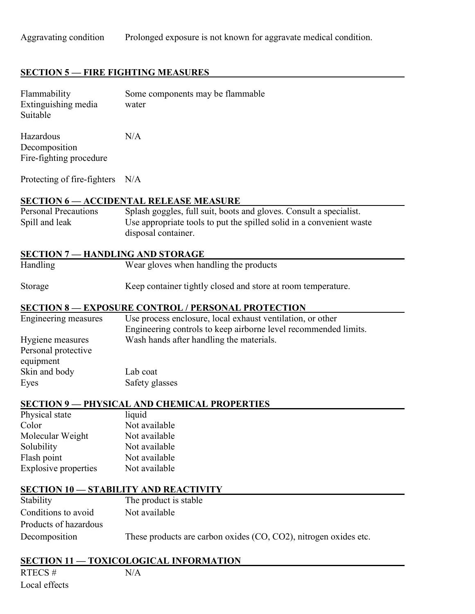## **SECTION 5 – FIRE FIGHTING MEASURES**

| Flammability<br>Extinguishing media<br>Suitable       | Some components may be flammable<br>water                                                                                                                         |
|-------------------------------------------------------|-------------------------------------------------------------------------------------------------------------------------------------------------------------------|
| Hazardous<br>Decomposition<br>Fire-fighting procedure | N/A                                                                                                                                                               |
| Protecting of fire-fighters                           | N/A                                                                                                                                                               |
|                                                       | <b>SECTION 6 - ACCIDENTAL RELEASE MEASURE</b>                                                                                                                     |
| <b>Personal Precautions</b><br>Spill and leak         | Splash goggles, full suit, boots and gloves. Consult a specialist.<br>Use appropriate tools to put the spilled solid in a convenient waste<br>disposal container. |
| <b>SECTION 7 - HANDLING AND STORAGE</b>               |                                                                                                                                                                   |
| Handling                                              | Wear gloves when handling the products                                                                                                                            |
| Storage                                               | Keep container tightly closed and store at room temperature.                                                                                                      |
|                                                       | <b>SECTION 8 - EXPOSURE CONTROL / PERSONAL PROTECTION</b>                                                                                                         |
| Engineering measures                                  | Use process enclosure, local exhaust ventilation, or other<br>Engineering controls to keep airborne level recommended limits.                                     |
| Hygiene measures<br>Personal protective<br>equipment  | Wash hands after handling the materials.                                                                                                                          |
| Skin and body                                         | Lab coat                                                                                                                                                          |
| Eyes                                                  | Safety glasses                                                                                                                                                    |
|                                                       | <b>SECTION 9 - PHYSICAL AND CHEMICAL PROPERTIES</b>                                                                                                               |
| Physical state                                        | liquid                                                                                                                                                            |
| Color                                                 | Not available                                                                                                                                                     |
| Molecular Weight                                      | Not available                                                                                                                                                     |
| Solubility                                            | Not available                                                                                                                                                     |
| Flash point                                           | Not available                                                                                                                                                     |
| <b>Explosive properties</b>                           | Not available                                                                                                                                                     |
|                                                       | <b>SECTION 10 - STABILITY AND REACTIVITY</b>                                                                                                                      |
| Stability                                             | The product is stable                                                                                                                                             |
| Conditions to avoid                                   | Not available                                                                                                                                                     |
| Products of hazardous                                 |                                                                                                                                                                   |
| Decomposition                                         | These products are carbon oxides (CO, CO2), nitrogen oxides etc.                                                                                                  |
|                                                       | <b>SECTION 11 - TOXICOLOGICAL INFORMATION</b>                                                                                                                     |

RTECS  $#$  N/A Local effects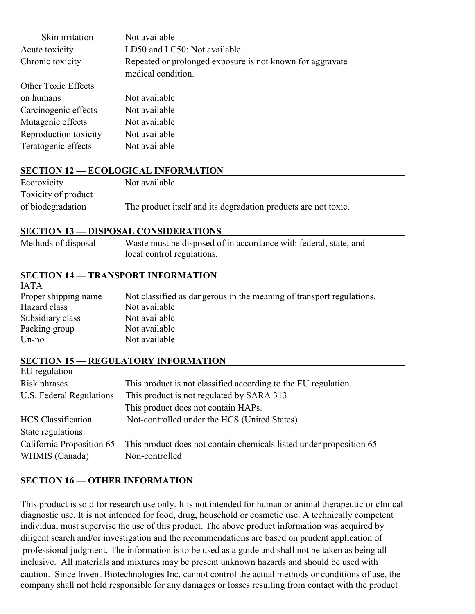| Skin irritation       | Not available                                                                   |
|-----------------------|---------------------------------------------------------------------------------|
| Acute toxicity        | LD50 and LC50: Not available                                                    |
| Chronic toxicity      | Repeated or prolonged exposure is not known for aggravate<br>medical condition. |
| Other Toxic Effects   |                                                                                 |
| on humans             | Not available                                                                   |
| Carcinogenic effects  | Not available                                                                   |
| Mutagenic effects     | Not available                                                                   |
| Reproduction toxicity | Not available                                                                   |
| Teratogenic effects   | Not available                                                                   |

#### SECTION 12 — ECOLOGICAL INFORMATION

| Ecotoxicity         | Not available                                                  |
|---------------------|----------------------------------------------------------------|
| Toxicity of product |                                                                |
| of biodegradation   | The product itself and its degradation products are not toxic. |

#### SECTION 13 — DISPOSAL CONSIDERATIONS

| Methods of disposal | Waste must be disposed of in accordance with federal, state, and |
|---------------------|------------------------------------------------------------------|
|                     | local control regulations.                                       |

#### SECTION 14 — TRANSPORT INFORMATION

IATA

| IA I A               |                                                                      |
|----------------------|----------------------------------------------------------------------|
| Proper shipping name | Not classified as dangerous in the meaning of transport regulations. |
| Hazard class         | Not available                                                        |
| Subsidiary class     | Not available                                                        |
| Packing group        | Not available                                                        |
| $Un-no$              | Not available                                                        |
|                      |                                                                      |

#### SECTION 15 — REGULATORY INFORMATION  $EII$  regulation

| EU reguiation                               |                                                                                       |
|---------------------------------------------|---------------------------------------------------------------------------------------|
| Risk phrases                                | This product is not classified according to the EU regulation.                        |
| U.S. Federal Regulations                    | This product is not regulated by SARA 313                                             |
|                                             | This product does not contain HAPs.                                                   |
| <b>HCS</b> Classification                   | Not-controlled under the HCS (United States)                                          |
| State regulations                           |                                                                                       |
| California Proposition 65<br>WHMIS (Canada) | This product does not contain chemicals listed under proposition 65<br>Non-controlled |
|                                             |                                                                                       |

#### SECTION 16 — OTHER INFORMATION

This product is sold for research use only. It is not intended for human or animal therapeutic or clinical diagnostic use. It is not intended for food, drug, household or cosmetic use. A technically competent individual must supervise the use of this product. The above product information was acquired by diligent search and/or investigation and the recommendations are based on prudent application of professional judgment. The information is to be used as a guide and shall not be taken as being all inclusive. All materials and mixtures may be present unknown hazards and should be used with caution. Since Invent Biotechnologies Inc. cannot control the actual methods or conditions of use, the company shall not held responsible for any damages or losses resulting from contact with the product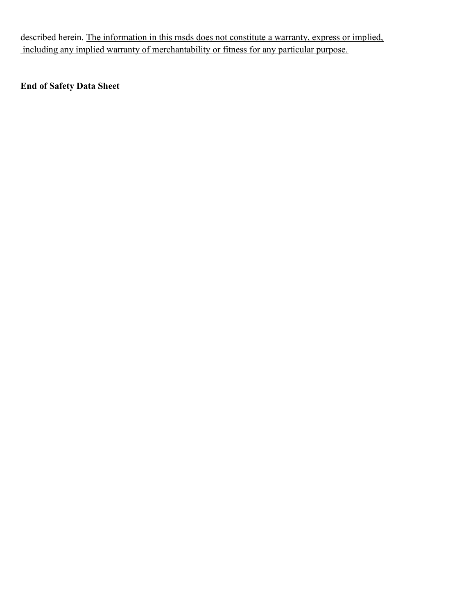described herein. The information in this msds does not constitute a warranty, express or implied, including any implied warranty of merchantability or fitness for any particular purpose.

### End of Safety Data Sheet